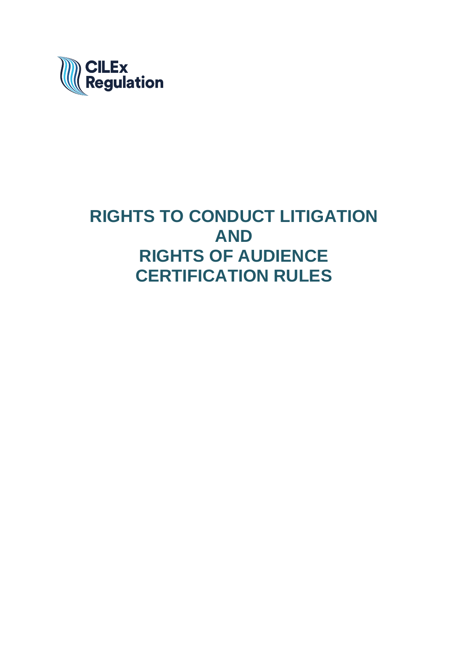

# **RIGHTS TO CONDUCT LITIGATION AND RIGHTS OF AUDIENCE CERTIFICATION RULES**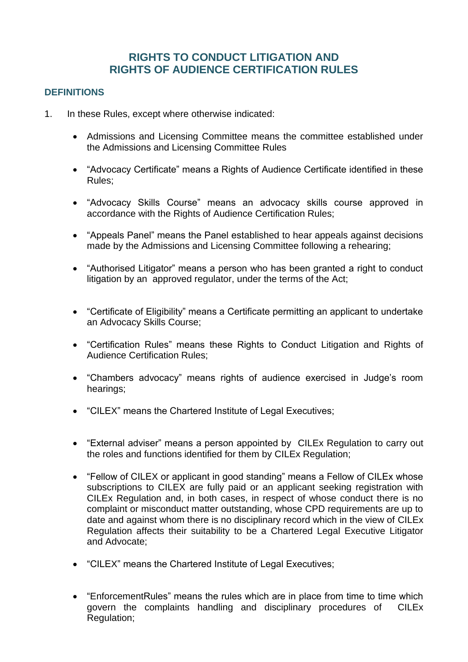# **RIGHTS TO CONDUCT LITIGATION AND RIGHTS OF AUDIENCE CERTIFICATION RULES**

# **DEFINITIONS**

- 1. In these Rules, except where otherwise indicated:
	- Admissions and Licensing Committee means the committee established under the Admissions and Licensing Committee Rules
	- "Advocacy Certificate" means a Rights of Audience Certificate identified in these Rules;
	- "Advocacy Skills Course" means an advocacy skills course approved in accordance with the Rights of Audience Certification Rules;
	- "Appeals Panel" means the Panel established to hear appeals against decisions made by the Admissions and Licensing Committee following a rehearing;
	- "Authorised Litigator" means a person who has been granted a right to conduct litigation by an approved regulator, under the terms of the Act;
	- "Certificate of Eligibility" means a Certificate permitting an applicant to undertake an Advocacy Skills Course;
	- "Certification Rules" means these Rights to Conduct Litigation and Rights of Audience Certification Rules;
	- "Chambers advocacy" means rights of audience exercised in Judge's room hearings;
	- "CILEX" means the Chartered Institute of Legal Executives;
	- "External adviser" means a person appointed by CILEx Regulation to carry out the roles and functions identified for them by CILEx Regulation;
	- "Fellow of CILEX or applicant in good standing" means a Fellow of CILEx whose subscriptions to CILEX are fully paid or an applicant seeking registration with CILEx Regulation and, in both cases, in respect of whose conduct there is no complaint or misconduct matter outstanding, whose CPD requirements are up to date and against whom there is no disciplinary record which in the view of CILEx Regulation affects their suitability to be a Chartered Legal Executive Litigator and Advocate;
	- "CILEX" means the Chartered Institute of Legal Executives;
	- "EnforcementRules" means the rules which are in place from time to time which govern the complaints handling and disciplinary procedures of CILEx Regulation;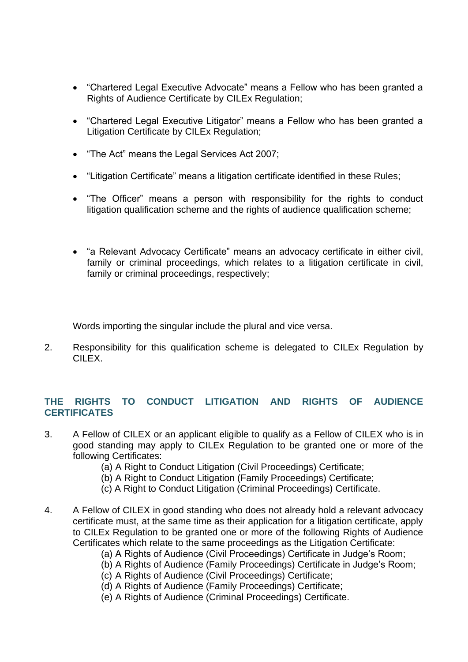- "Chartered Legal Executive Advocate" means a Fellow who has been granted a Rights of Audience Certificate by CILEx Regulation;
- "Chartered Legal Executive Litigator" means a Fellow who has been granted a Litigation Certificate by CILEx Regulation;
- "The Act" means the Legal Services Act 2007;
- "Litigation Certificate" means a litigation certificate identified in these Rules;
- "The Officer" means a person with responsibility for the rights to conduct litigation qualification scheme and the rights of audience qualification scheme;
- "a Relevant Advocacy Certificate" means an advocacy certificate in either civil, family or criminal proceedings, which relates to a litigation certificate in civil, family or criminal proceedings, respectively;

Words importing the singular include the plural and vice versa.

2. Responsibility for this qualification scheme is delegated to CILEx Regulation by CILEX.

# **THE RIGHTS TO CONDUCT LITIGATION AND RIGHTS OF AUDIENCE CERTIFICATES**

- 3. A Fellow of CILEX or an applicant eligible to qualify as a Fellow of CILEX who is in good standing may apply to CILEx Regulation to be granted one or more of the following Certificates:
	- (a) A Right to Conduct Litigation (Civil Proceedings) Certificate;
	- (b) A Right to Conduct Litigation (Family Proceedings) Certificate;
	- (c) A Right to Conduct Litigation (Criminal Proceedings) Certificate.
- 4. A Fellow of CILEX in good standing who does not already hold a relevant advocacy certificate must, at the same time as their application for a litigation certificate, apply to CILEx Regulation to be granted one or more of the following Rights of Audience Certificates which relate to the same proceedings as the Litigation Certificate:
	- (a) A Rights of Audience (Civil Proceedings) Certificate in Judge's Room;
	- (b) A Rights of Audience (Family Proceedings) Certificate in Judge's Room;
	- (c) A Rights of Audience (Civil Proceedings) Certificate;
	- (d) A Rights of Audience (Family Proceedings) Certificate;
	- (e) A Rights of Audience (Criminal Proceedings) Certificate.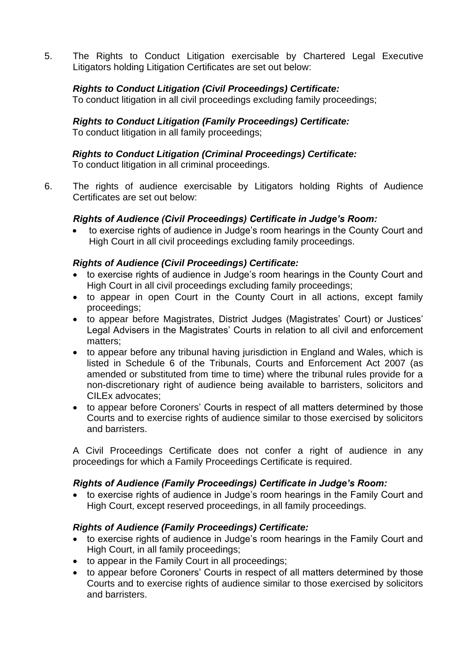5. The Rights to Conduct Litigation exercisable by Chartered Legal Executive Litigators holding Litigation Certificates are set out below:

# *Rights to Conduct Litigation (Civil Proceedings) Certificate:*

To conduct litigation in all civil proceedings excluding family proceedings;

#### *Rights to Conduct Litigation (Family Proceedings) Certificate:* To conduct litigation in all family proceedings;

# *Rights to Conduct Litigation (Criminal Proceedings) Certificate:*

To conduct litigation in all criminal proceedings.

6. The rights of audience exercisable by Litigators holding Rights of Audience Certificates are set out below:

## *Rights of Audience (Civil Proceedings) Certificate in Judge's Room:*

• to exercise rights of audience in Judge's room hearings in the County Court and High Court in all civil proceedings excluding family proceedings.

## *Rights of Audience (Civil Proceedings) Certificate:*

- to exercise rights of audience in Judge's room hearings in the County Court and High Court in all civil proceedings excluding family proceedings;
- to appear in open Court in the County Court in all actions, except family proceedings;
- to appear before Magistrates, District Judges (Magistrates' Court) or Justices' Legal Advisers in the Magistrates' Courts in relation to all civil and enforcement matters;
- to appear before any tribunal having jurisdiction in England and Wales, which is listed in Schedule 6 of the Tribunals, Courts and Enforcement Act 2007 (as amended or substituted from time to time) where the tribunal rules provide for a non-discretionary right of audience being available to barristers, solicitors and CILEx advocates;
- to appear before Coroners' Courts in respect of all matters determined by those Courts and to exercise rights of audience similar to those exercised by solicitors and barristers.

A Civil Proceedings Certificate does not confer a right of audience in any proceedings for which a Family Proceedings Certificate is required.

## *Rights of Audience (Family Proceedings) Certificate in Judge's Room:*

• to exercise rights of audience in Judge's room hearings in the Family Court and High Court, except reserved proceedings, in all family proceedings.

# *Rights of Audience (Family Proceedings) Certificate:*

- to exercise rights of audience in Judge's room hearings in the Family Court and High Court, in all family proceedings;
- to appear in the Family Court in all proceedings;
- to appear before Coroners' Courts in respect of all matters determined by those Courts and to exercise rights of audience similar to those exercised by solicitors and barristers.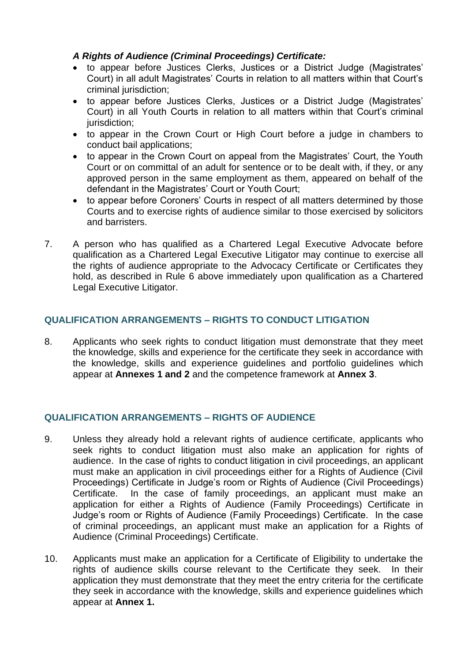# *A Rights of Audience (Criminal Proceedings) Certificate:*

- to appear before Justices Clerks, Justices or a District Judge (Magistrates' Court) in all adult Magistrates' Courts in relation to all matters within that Court's criminal jurisdiction;
- to appear before Justices Clerks, Justices or a District Judge (Magistrates' Court) in all Youth Courts in relation to all matters within that Court's criminal jurisdiction;
- to appear in the Crown Court or High Court before a judge in chambers to conduct bail applications;
- to appear in the Crown Court on appeal from the Magistrates' Court, the Youth Court or on committal of an adult for sentence or to be dealt with, if they, or any approved person in the same employment as them, appeared on behalf of the defendant in the Magistrates' Court or Youth Court;
- to appear before Coroners' Courts in respect of all matters determined by those Courts and to exercise rights of audience similar to those exercised by solicitors and barristers.
- 7. A person who has qualified as a Chartered Legal Executive Advocate before qualification as a Chartered Legal Executive Litigator may continue to exercise all the rights of audience appropriate to the Advocacy Certificate or Certificates they hold, as described in Rule 6 above immediately upon qualification as a Chartered Legal Executive Litigator.

# **QUALIFICATION ARRANGEMENTS – RIGHTS TO CONDUCT LITIGATION**

8. Applicants who seek rights to conduct litigation must demonstrate that they meet the knowledge, skills and experience for the certificate they seek in accordance with the knowledge, skills and experience guidelines and portfolio guidelines which appear at **Annexes 1 and 2** and the competence framework at **Annex 3**.

## **QUALIFICATION ARRANGEMENTS – RIGHTS OF AUDIENCE**

- 9. Unless they already hold a relevant rights of audience certificate, applicants who seek rights to conduct litigation must also make an application for rights of audience. In the case of rights to conduct litigation in civil proceedings, an applicant must make an application in civil proceedings either for a Rights of Audience (Civil Proceedings) Certificate in Judge's room or Rights of Audience (Civil Proceedings) Certificate. In the case of family proceedings, an applicant must make an application for either a Rights of Audience (Family Proceedings) Certificate in Judge's room or Rights of Audience (Family Proceedings) Certificate. In the case of criminal proceedings, an applicant must make an application for a Rights of Audience (Criminal Proceedings) Certificate.
- 10. Applicants must make an application for a Certificate of Eligibility to undertake the rights of audience skills course relevant to the Certificate they seek. In their application they must demonstrate that they meet the entry criteria for the certificate they seek in accordance with the knowledge, skills and experience guidelines which appear at **Annex 1.**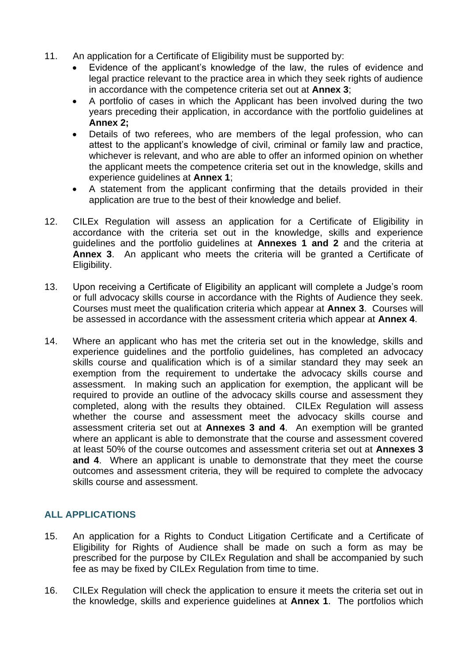- 11. An application for a Certificate of Eligibility must be supported by:
	- Evidence of the applicant's knowledge of the law, the rules of evidence and legal practice relevant to the practice area in which they seek rights of audience in accordance with the competence criteria set out at **Annex 3**;
	- A portfolio of cases in which the Applicant has been involved during the two years preceding their application, in accordance with the portfolio guidelines at **Annex 2;**
	- Details of two referees, who are members of the legal profession, who can attest to the applicant's knowledge of civil, criminal or family law and practice, whichever is relevant, and who are able to offer an informed opinion on whether the applicant meets the competence criteria set out in the knowledge, skills and experience guidelines at **Annex 1**;
	- A statement from the applicant confirming that the details provided in their application are true to the best of their knowledge and belief.
- 12. CILEx Regulation will assess an application for a Certificate of Eligibility in accordance with the criteria set out in the knowledge, skills and experience guidelines and the portfolio guidelines at **Annexes 1 and 2** and the criteria at **Annex 3**. An applicant who meets the criteria will be granted a Certificate of Eligibility.
- 13. Upon receiving a Certificate of Eligibility an applicant will complete a Judge's room or full advocacy skills course in accordance with the Rights of Audience they seek. Courses must meet the qualification criteria which appear at **Annex 3**. Courses will be assessed in accordance with the assessment criteria which appear at **Annex 4**.
- 14. Where an applicant who has met the criteria set out in the knowledge, skills and experience guidelines and the portfolio guidelines, has completed an advocacy skills course and qualification which is of a similar standard they may seek an exemption from the requirement to undertake the advocacy skills course and assessment. In making such an application for exemption, the applicant will be required to provide an outline of the advocacy skills course and assessment they completed, along with the results they obtained. CILEx Regulation will assess whether the course and assessment meet the advocacy skills course and assessment criteria set out at **Annexes 3 and 4**. An exemption will be granted where an applicant is able to demonstrate that the course and assessment covered at least 50% of the course outcomes and assessment criteria set out at **Annexes 3 and 4**. Where an applicant is unable to demonstrate that they meet the course outcomes and assessment criteria, they will be required to complete the advocacy skills course and assessment.

# **ALL APPLICATIONS**

- 15. An application for a Rights to Conduct Litigation Certificate and a Certificate of Eligibility for Rights of Audience shall be made on such a form as may be prescribed for the purpose by CILEx Regulation and shall be accompanied by such fee as may be fixed by CILEx Regulation from time to time.
- 16. CILEx Regulation will check the application to ensure it meets the criteria set out in the knowledge, skills and experience guidelines at **Annex 1**. The portfolios which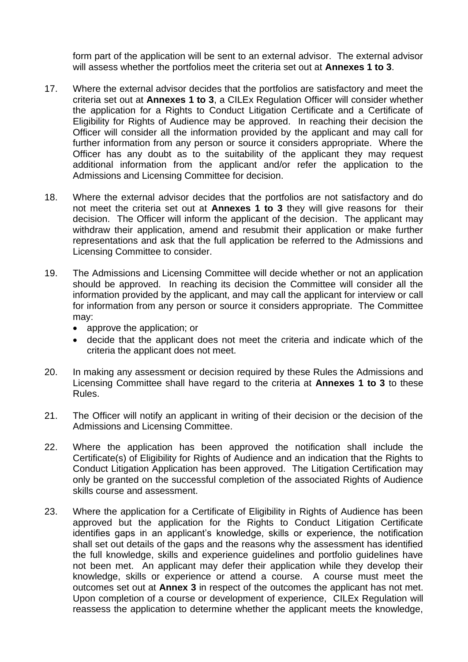form part of the application will be sent to an external advisor. The external advisor will assess whether the portfolios meet the criteria set out at **Annexes 1 to 3**.

- 17. Where the external advisor decides that the portfolios are satisfactory and meet the criteria set out at **Annexes 1 to 3**, a CILEx Regulation Officer will consider whether the application for a Rights to Conduct Litigation Certificate and a Certificate of Eligibility for Rights of Audience may be approved. In reaching their decision the Officer will consider all the information provided by the applicant and may call for further information from any person or source it considers appropriate. Where the Officer has any doubt as to the suitability of the applicant they may request additional information from the applicant and/or refer the application to the Admissions and Licensing Committee for decision.
- 18. Where the external advisor decides that the portfolios are not satisfactory and do not meet the criteria set out at **Annexes 1 to 3** they will give reasons for their decision. The Officer will inform the applicant of the decision. The applicant may withdraw their application, amend and resubmit their application or make further representations and ask that the full application be referred to the Admissions and Licensing Committee to consider.
- 19. The Admissions and Licensing Committee will decide whether or not an application should be approved. In reaching its decision the Committee will consider all the information provided by the applicant, and may call the applicant for interview or call for information from any person or source it considers appropriate. The Committee may:
	- approve the application; or
	- decide that the applicant does not meet the criteria and indicate which of the criteria the applicant does not meet.
- 20. In making any assessment or decision required by these Rules the Admissions and Licensing Committee shall have regard to the criteria at **Annexes 1 to 3** to these Rules.
- 21. The Officer will notify an applicant in writing of their decision or the decision of the Admissions and Licensing Committee.
- 22. Where the application has been approved the notification shall include the Certificate(s) of Eligibility for Rights of Audience and an indication that the Rights to Conduct Litigation Application has been approved. The Litigation Certification may only be granted on the successful completion of the associated Rights of Audience skills course and assessment.
- 23. Where the application for a Certificate of Eligibility in Rights of Audience has been approved but the application for the Rights to Conduct Litigation Certificate identifies gaps in an applicant's knowledge, skills or experience, the notification shall set out details of the gaps and the reasons why the assessment has identified the full knowledge, skills and experience guidelines and portfolio guidelines have not been met. An applicant may defer their application while they develop their knowledge, skills or experience or attend a course. A course must meet the outcomes set out at **Annex 3** in respect of the outcomes the applicant has not met. Upon completion of a course or development of experience, CILEx Regulation will reassess the application to determine whether the applicant meets the knowledge,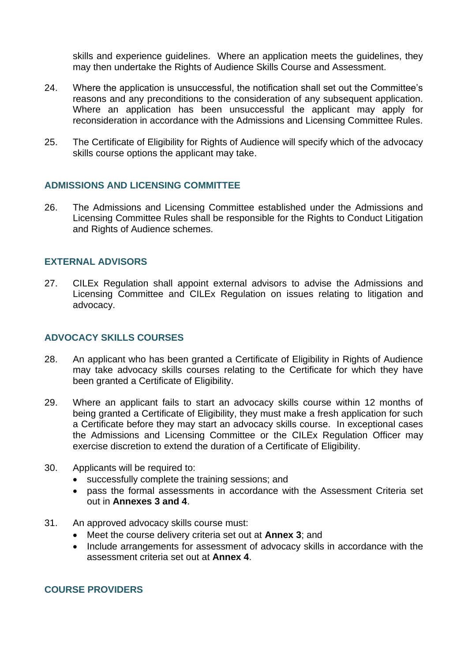skills and experience guidelines. Where an application meets the guidelines, they may then undertake the Rights of Audience Skills Course and Assessment.

- 24. Where the application is unsuccessful, the notification shall set out the Committee's reasons and any preconditions to the consideration of any subsequent application. Where an application has been unsuccessful the applicant may apply for reconsideration in accordance with the Admissions and Licensing Committee Rules.
- 25. The Certificate of Eligibility for Rights of Audience will specify which of the advocacy skills course options the applicant may take.

#### **ADMISSIONS AND LICENSING COMMITTEE**

26. The Admissions and Licensing Committee established under the Admissions and Licensing Committee Rules shall be responsible for the Rights to Conduct Litigation and Rights of Audience schemes.

#### **EXTERNAL ADVISORS**

27. CILEx Regulation shall appoint external advisors to advise the Admissions and Licensing Committee and CILEx Regulation on issues relating to litigation and advocacy.

#### **ADVOCACY SKILLS COURSES**

- 28. An applicant who has been granted a Certificate of Eligibility in Rights of Audience may take advocacy skills courses relating to the Certificate for which they have been granted a Certificate of Eligibility.
- 29. Where an applicant fails to start an advocacy skills course within 12 months of being granted a Certificate of Eligibility, they must make a fresh application for such a Certificate before they may start an advocacy skills course. In exceptional cases the Admissions and Licensing Committee or the CILEx Regulation Officer may exercise discretion to extend the duration of a Certificate of Eligibility.
- 30. Applicants will be required to:
	- successfully complete the training sessions; and
	- pass the formal assessments in accordance with the Assessment Criteria set out in **Annexes 3 and 4**.
- 31. An approved advocacy skills course must:
	- Meet the course delivery criteria set out at **Annex 3**; and
	- Include arrangements for assessment of advocacy skills in accordance with the assessment criteria set out at **Annex 4**.

#### **COURSE PROVIDERS**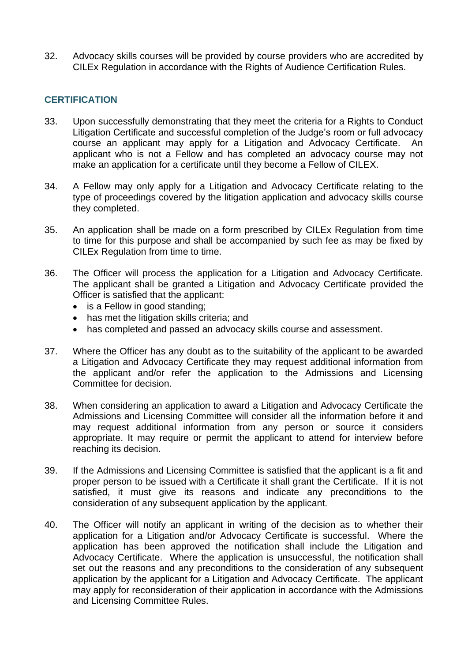32. Advocacy skills courses will be provided by course providers who are accredited by CILEx Regulation in accordance with the Rights of Audience Certification Rules.

# **CERTIFICATION**

- 33. Upon successfully demonstrating that they meet the criteria for a Rights to Conduct Litigation Certificate and successful completion of the Judge's room or full advocacy course an applicant may apply for a Litigation and Advocacy Certificate. An applicant who is not a Fellow and has completed an advocacy course may not make an application for a certificate until they become a Fellow of CILEX.
- 34. A Fellow may only apply for a Litigation and Advocacy Certificate relating to the type of proceedings covered by the litigation application and advocacy skills course they completed.
- 35. An application shall be made on a form prescribed by CILEx Regulation from time to time for this purpose and shall be accompanied by such fee as may be fixed by CILEx Regulation from time to time.
- 36. The Officer will process the application for a Litigation and Advocacy Certificate. The applicant shall be granted a Litigation and Advocacy Certificate provided the Officer is satisfied that the applicant:
	- is a Fellow in good standing;
	- has met the litigation skills criteria; and
	- has completed and passed an advocacy skills course and assessment.
- 37. Where the Officer has any doubt as to the suitability of the applicant to be awarded a Litigation and Advocacy Certificate they may request additional information from the applicant and/or refer the application to the Admissions and Licensing Committee for decision.
- 38. When considering an application to award a Litigation and Advocacy Certificate the Admissions and Licensing Committee will consider all the information before it and may request additional information from any person or source it considers appropriate. It may require or permit the applicant to attend for interview before reaching its decision.
- 39. If the Admissions and Licensing Committee is satisfied that the applicant is a fit and proper person to be issued with a Certificate it shall grant the Certificate. If it is not satisfied, it must give its reasons and indicate any preconditions to the consideration of any subsequent application by the applicant.
- 40. The Officer will notify an applicant in writing of the decision as to whether their application for a Litigation and/or Advocacy Certificate is successful. Where the application has been approved the notification shall include the Litigation and Advocacy Certificate. Where the application is unsuccessful, the notification shall set out the reasons and any preconditions to the consideration of any subsequent application by the applicant for a Litigation and Advocacy Certificate. The applicant may apply for reconsideration of their application in accordance with the Admissions and Licensing Committee Rules.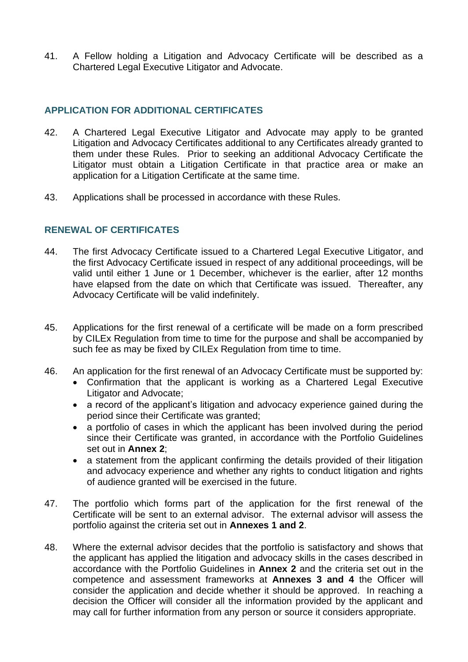41. A Fellow holding a Litigation and Advocacy Certificate will be described as a Chartered Legal Executive Litigator and Advocate.

#### **APPLICATION FOR ADDITIONAL CERTIFICATES**

- 42. A Chartered Legal Executive Litigator and Advocate may apply to be granted Litigation and Advocacy Certificates additional to any Certificates already granted to them under these Rules. Prior to seeking an additional Advocacy Certificate the Litigator must obtain a Litigation Certificate in that practice area or make an application for a Litigation Certificate at the same time.
- 43. Applications shall be processed in accordance with these Rules.

# **RENEWAL OF CERTIFICATES**

- 44. The first Advocacy Certificate issued to a Chartered Legal Executive Litigator, and the first Advocacy Certificate issued in respect of any additional proceedings, will be valid until either 1 June or 1 December, whichever is the earlier, after 12 months have elapsed from the date on which that Certificate was issued. Thereafter, any Advocacy Certificate will be valid indefinitely.
- 45. Applications for the first renewal of a certificate will be made on a form prescribed by CILEx Regulation from time to time for the purpose and shall be accompanied by such fee as may be fixed by CILEx Regulation from time to time.
- 46. An application for the first renewal of an Advocacy Certificate must be supported by:
	- Confirmation that the applicant is working as a Chartered Legal Executive Litigator and Advocate;
	- a record of the applicant's litigation and advocacy experience gained during the period since their Certificate was granted;
	- a portfolio of cases in which the applicant has been involved during the period since their Certificate was granted, in accordance with the Portfolio Guidelines set out in **Annex 2**;
	- a statement from the applicant confirming the details provided of their litigation and advocacy experience and whether any rights to conduct litigation and rights of audience granted will be exercised in the future.
- 47. The portfolio which forms part of the application for the first renewal of the Certificate will be sent to an external advisor. The external advisor will assess the portfolio against the criteria set out in **Annexes 1 and 2**.
- 48. Where the external advisor decides that the portfolio is satisfactory and shows that the applicant has applied the litigation and advocacy skills in the cases described in accordance with the Portfolio Guidelines in **Annex 2** and the criteria set out in the competence and assessment frameworks at **Annexes 3 and 4** the Officer will consider the application and decide whether it should be approved. In reaching a decision the Officer will consider all the information provided by the applicant and may call for further information from any person or source it considers appropriate.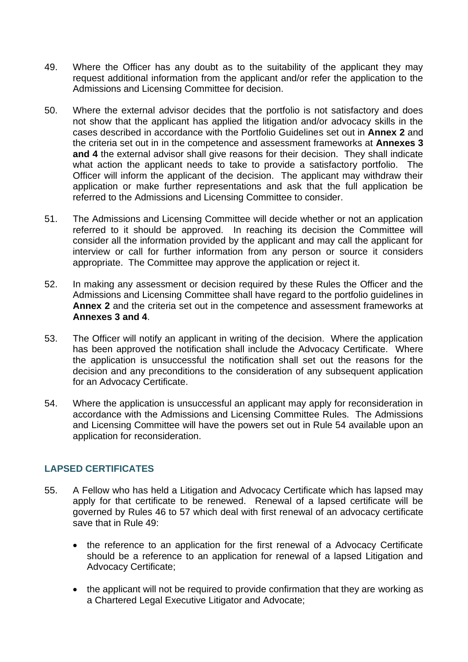- 49. Where the Officer has any doubt as to the suitability of the applicant they may request additional information from the applicant and/or refer the application to the Admissions and Licensing Committee for decision.
- 50. Where the external advisor decides that the portfolio is not satisfactory and does not show that the applicant has applied the litigation and/or advocacy skills in the cases described in accordance with the Portfolio Guidelines set out in **Annex 2** and the criteria set out in in the competence and assessment frameworks at **Annexes 3 and 4** the external advisor shall give reasons for their decision. They shall indicate what action the applicant needs to take to provide a satisfactory portfolio. The Officer will inform the applicant of the decision. The applicant may withdraw their application or make further representations and ask that the full application be referred to the Admissions and Licensing Committee to consider.
- 51. The Admissions and Licensing Committee will decide whether or not an application referred to it should be approved. In reaching its decision the Committee will consider all the information provided by the applicant and may call the applicant for interview or call for further information from any person or source it considers appropriate. The Committee may approve the application or reject it.
- 52. In making any assessment or decision required by these Rules the Officer and the Admissions and Licensing Committee shall have regard to the portfolio guidelines in **Annex 2** and the criteria set out in the competence and assessment frameworks at **Annexes 3 and 4**.
- 53. The Officer will notify an applicant in writing of the decision. Where the application has been approved the notification shall include the Advocacy Certificate. Where the application is unsuccessful the notification shall set out the reasons for the decision and any preconditions to the consideration of any subsequent application for an Advocacy Certificate.
- 54. Where the application is unsuccessful an applicant may apply for reconsideration in accordance with the Admissions and Licensing Committee Rules. The Admissions and Licensing Committee will have the powers set out in Rule 54 available upon an application for reconsideration.

## **LAPSED CERTIFICATES**

- 55. A Fellow who has held a Litigation and Advocacy Certificate which has lapsed may apply for that certificate to be renewed. Renewal of a lapsed certificate will be governed by Rules 46 to 57 which deal with first renewal of an advocacy certificate save that in Rule 49:
	- the reference to an application for the first renewal of a Advocacy Certificate should be a reference to an application for renewal of a lapsed Litigation and Advocacy Certificate;
	- the applicant will not be required to provide confirmation that they are working as a Chartered Legal Executive Litigator and Advocate;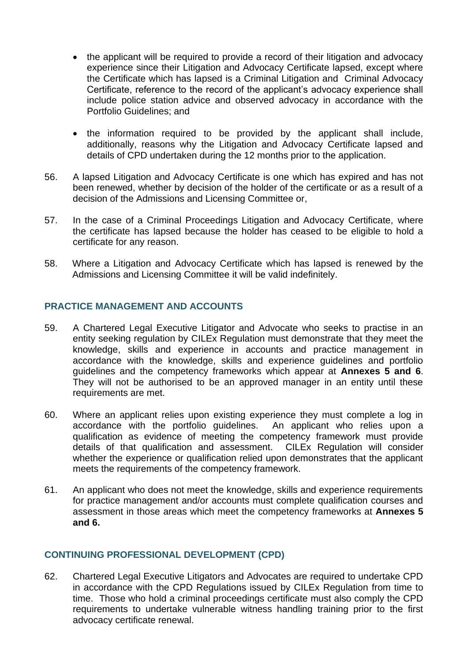- the applicant will be required to provide a record of their litigation and advocacy experience since their Litigation and Advocacy Certificate lapsed, except where the Certificate which has lapsed is a Criminal Litigation and Criminal Advocacy Certificate, reference to the record of the applicant's advocacy experience shall include police station advice and observed advocacy in accordance with the Portfolio Guidelines; and
- the information required to be provided by the applicant shall include, additionally, reasons why the Litigation and Advocacy Certificate lapsed and details of CPD undertaken during the 12 months prior to the application.
- 56. A lapsed Litigation and Advocacy Certificate is one which has expired and has not been renewed, whether by decision of the holder of the certificate or as a result of a decision of the Admissions and Licensing Committee or,
- 57. In the case of a Criminal Proceedings Litigation and Advocacy Certificate, where the certificate has lapsed because the holder has ceased to be eligible to hold a certificate for any reason.
- 58. Where a Litigation and Advocacy Certificate which has lapsed is renewed by the Admissions and Licensing Committee it will be valid indefinitely.

# **PRACTICE MANAGEMENT AND ACCOUNTS**

- 59. A Chartered Legal Executive Litigator and Advocate who seeks to practise in an entity seeking regulation by CILEx Regulation must demonstrate that they meet the knowledge, skills and experience in accounts and practice management in accordance with the knowledge, skills and experience guidelines and portfolio guidelines and the competency frameworks which appear at **Annexes 5 and 6**. They will not be authorised to be an approved manager in an entity until these requirements are met.
- 60. Where an applicant relies upon existing experience they must complete a log in accordance with the portfolio guidelines. An applicant who relies upon a qualification as evidence of meeting the competency framework must provide details of that qualification and assessment. CILEx Regulation will consider whether the experience or qualification relied upon demonstrates that the applicant meets the requirements of the competency framework.
- 61. An applicant who does not meet the knowledge, skills and experience requirements for practice management and/or accounts must complete qualification courses and assessment in those areas which meet the competency frameworks at **Annexes 5 and 6.**

## **CONTINUING PROFESSIONAL DEVELOPMENT (CPD)**

62. Chartered Legal Executive Litigators and Advocates are required to undertake CPD in accordance with the CPD Regulations issued by CILEx Regulation from time to time. Those who hold a criminal proceedings certificate must also comply the CPD requirements to undertake vulnerable witness handling training prior to the first advocacy certificate renewal.